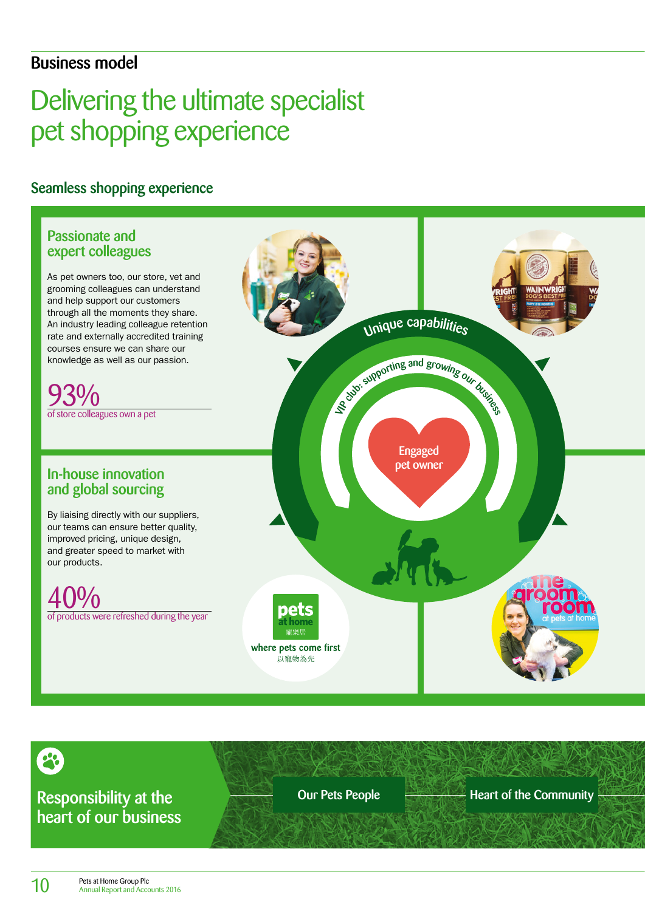### Business model

# Delivering the ultimate specialist pet shopping experience

Seamless shopping experience